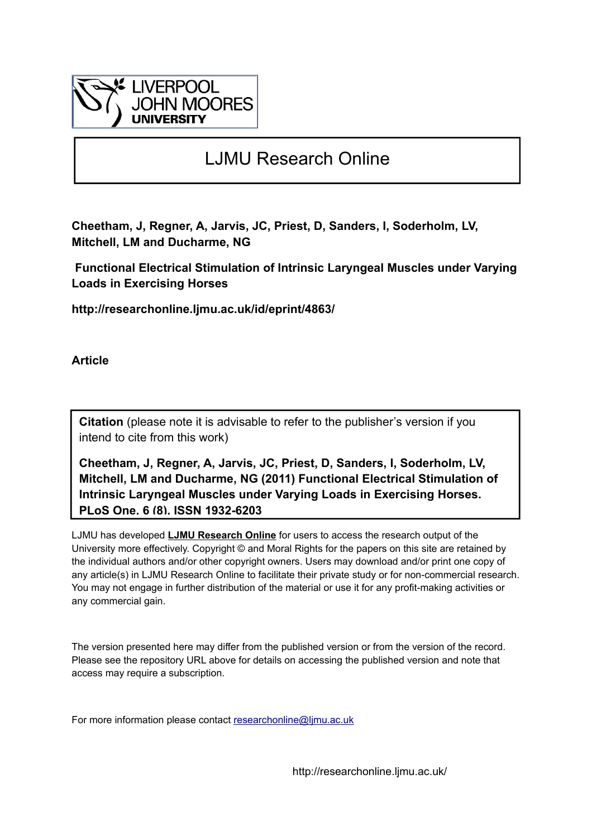

## LJMU Research Online

**Cheetham, J, Regner, A, Jarvis, JC, Priest, D, Sanders, I, Soderholm, LV, Mitchell, LM and Ducharme, NG**

 **Functional Electrical Stimulation of Intrinsic Laryngeal Muscles under Varying Loads in Exercising Horses**

**http://researchonline.ljmu.ac.uk/id/eprint/4863/**

**Article**

**Citation** (please note it is advisable to refer to the publisher's version if you intend to cite from this work)

**Cheetham, J, Regner, A, Jarvis, JC, Priest, D, Sanders, I, Soderholm, LV, Mitchell, LM and Ducharme, NG (2011) Functional Electrical Stimulation of Intrinsic Laryngeal Muscles under Varying Loads in Exercising Horses. PLoS One, 6 (8). ISSN 1932-6203** 

LJMU has developed **[LJMU Research Online](http://researchonline.ljmu.ac.uk/)** for users to access the research output of the University more effectively. Copyright © and Moral Rights for the papers on this site are retained by the individual authors and/or other copyright owners. Users may download and/or print one copy of any article(s) in LJMU Research Online to facilitate their private study or for non-commercial research. You may not engage in further distribution of the material or use it for any profit-making activities or any commercial gain.

The version presented here may differ from the published version or from the version of the record. Please see the repository URL above for details on accessing the published version and note that access may require a subscription.

For more information please contact researchonline@limu.ac.uk

http://researchonline.ljmu.ac.uk/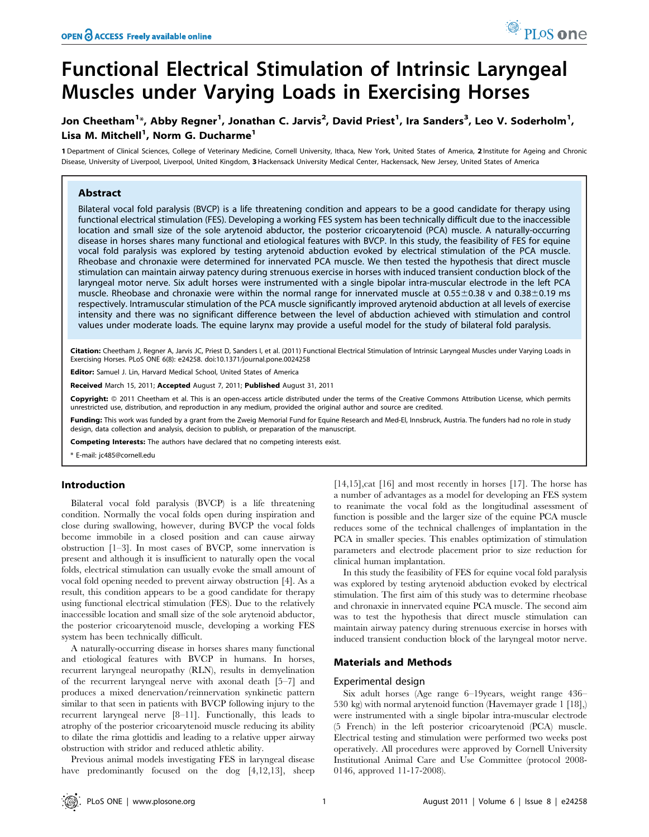# Functional Electrical Stimulation of Intrinsic Laryngeal Muscles under Varying Loads in Exercising Horses

### Jon Cheetham $^{1\star}$ , Abby Regner $^{1}$ , Jonathan C. Jarvis $^{2}$ , David Priest $^{1}$ , Ira Sanders $^{3}$ , Leo V. Soderholm $^{1}$ , Lisa M. Mitchell<sup>1</sup>, Norm G. Ducharme<sup>1</sup>

1 Department of Clinical Sciences, College of Veterinary Medicine, Cornell University, Ithaca, New York, United States of America, 2 Institute for Ageing and Chronic Disease, University of Liverpool, Liverpool, United Kingdom, 3Hackensack University Medical Center, Hackensack, New Jersey, United States of America

#### Abstract

Bilateral vocal fold paralysis (BVCP) is a life threatening condition and appears to be a good candidate for therapy using functional electrical stimulation (FES). Developing a working FES system has been technically difficult due to the inaccessible location and small size of the sole arytenoid abductor, the posterior cricoarytenoid (PCA) muscle. A naturally-occurring disease in horses shares many functional and etiological features with BVCP. In this study, the feasibility of FES for equine vocal fold paralysis was explored by testing arytenoid abduction evoked by electrical stimulation of the PCA muscle. Rheobase and chronaxie were determined for innervated PCA muscle. We then tested the hypothesis that direct muscle stimulation can maintain airway patency during strenuous exercise in horses with induced transient conduction block of the laryngeal motor nerve. Six adult horses were instrumented with a single bipolar intra-muscular electrode in the left PCA muscle. Rheobase and chronaxie were within the normal range for innervated muscle at  $0.55\pm0.38$  v and  $0.38\pm0.19$  ms respectively. Intramuscular stimulation of the PCA muscle significantly improved arytenoid abduction at all levels of exercise intensity and there was no significant difference between the level of abduction achieved with stimulation and control values under moderate loads. The equine larynx may provide a useful model for the study of bilateral fold paralysis.

Citation: Cheetham J, Regner A, Jarvis JC, Priest D, Sanders I, et al. (2011) Functional Electrical Stimulation of Intrinsic Laryngeal Muscles under Varying Loads in Exercising Horses. PLoS ONE 6(8): e24258. doi:10.1371/journal.pone.0024258

Editor: Samuel J. Lin, Harvard Medical School, United States of America

Received March 15, 2011; Accepted August 7, 2011; Published August 31, 2011

Copyright: © 2011 Cheetham et al. This is an open-access article distributed under the terms of the Creative Commons Attribution License, which permits unrestricted use, distribution, and reproduction in any medium, provided the original author and source are credited.

Funding: This work was funded by a grant from the Zweig Memorial Fund for Equine Research and Med-El, Innsbruck, Austria. The funders had no role in study design, data collection and analysis, decision to publish, or preparation of the manuscript.

Competing Interests: The authors have declared that no competing interests exist.

\* E-mail: jc485@cornell.edu

#### Introduction

Bilateral vocal fold paralysis (BVCP) is a life threatening condition. Normally the vocal folds open during inspiration and close during swallowing, however, during BVCP the vocal folds become immobile in a closed position and can cause airway obstruction [1–3]. In most cases of BVCP, some innervation is present and although it is insufficient to naturally open the vocal folds, electrical stimulation can usually evoke the small amount of vocal fold opening needed to prevent airway obstruction [4]. As a result, this condition appears to be a good candidate for therapy using functional electrical stimulation (FES). Due to the relatively inaccessible location and small size of the sole arytenoid abductor, the posterior cricoarytenoid muscle, developing a working FES system has been technically difficult.

A naturally-occurring disease in horses shares many functional and etiological features with BVCP in humans. In horses, recurrent laryngeal neuropathy (RLN), results in demyelination of the recurrent laryngeal nerve with axonal death [5–7] and produces a mixed denervation/reinnervation synkinetic pattern similar to that seen in patients with BVCP following injury to the recurrent laryngeal nerve [8–11]. Functionally, this leads to atrophy of the posterior cricoarytenoid muscle reducing its ability to dilate the rima glottidis and leading to a relative upper airway obstruction with stridor and reduced athletic ability.

Previous animal models investigating FES in laryngeal disease have predominantly focused on the dog [4,12,13], sheep [14,15],cat [16] and most recently in horses [17]. The horse has a number of advantages as a model for developing an FES system to reanimate the vocal fold as the longitudinal assessment of function is possible and the larger size of the equine PCA muscle reduces some of the technical challenges of implantation in the PCA in smaller species. This enables optimization of stimulation parameters and electrode placement prior to size reduction for clinical human implantation.

<sup>O</sup> PLoS one

In this study the feasibility of FES for equine vocal fold paralysis was explored by testing arytenoid abduction evoked by electrical stimulation. The first aim of this study was to determine rheobase and chronaxie in innervated equine PCA muscle. The second aim was to test the hypothesis that direct muscle stimulation can maintain airway patency during strenuous exercise in horses with induced transient conduction block of the laryngeal motor nerve.

#### Materials and Methods

#### Experimental design

Six adult horses (Age range 6–19years, weight range 436– 530 kg) with normal arytenoid function (Havemayer grade 1 [18],) were instrumented with a single bipolar intra-muscular electrode (5 French) in the left posterior cricoarytenoid (PCA) muscle. Electrical testing and stimulation were performed two weeks post operatively. All procedures were approved by Cornell University Institutional Animal Care and Use Committee (protocol 2008- 0146, approved 11-17-2008).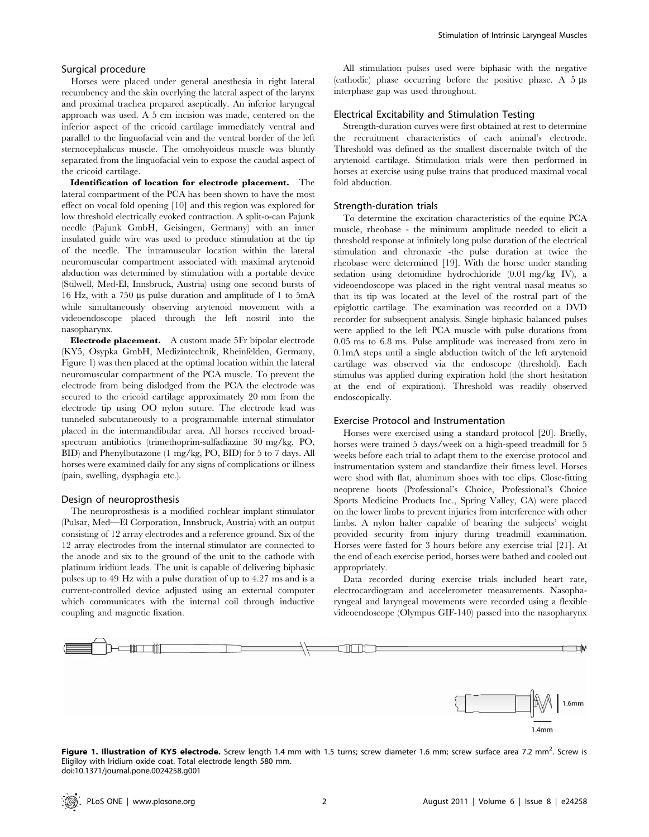#### Surgical procedure

Horses were placed under general anesthesia in right lateral recumbency and the skin overlying the lateral aspect of the larynx and proximal trachea prepared aseptically. An inferior laryngeal approach was used. A 5 cm incision was made, centered on the inferior aspect of the cricoid cartilage immediately ventral and parallel to the linguofacial vein and the ventral border of the left sternocephalicus muscle. The omohyoideus muscle was bluntly separated from the linguofacial vein to expose the caudal aspect of the cricoid cartilage.

Identification of location for electrode placement. The lateral compartment of the PCA has been shown to have the most effect on vocal fold opening [10] and this region was explored for low threshold electrically evoked contraction. A split-o-can Pajunk needle (Pajunk GmbH, Geisingen, Germany) with an inner insulated guide wire was used to produce stimulation at the tip of the needle. The intramuscular location within the lateral neuromuscular compartment associated with maximal arytenoid abduction was determined by stimulation with a portable device (Stilwell, Med-El, Innsbruck, Austria) using one second bursts of 16 Hz, with a 750  $\mu$ s pulse duration and amplitude of 1 to 5mA while simultaneously observing arytenoid movement with a videoendoscope placed through the left nostril into the nasopharynx.

Electrode placement. A custom made 5Fr bipolar electrode (KY5, Osypka GmbH, Medizintechnik, Rheinfelden, Germany, Figure 1) was then placed at the optimal location within the lateral neuromuscular compartment of the PCA muscle. To prevent the electrode from being dislodged from the PCA the electrode was secured to the cricoid cartilage approximately 20 mm from the electrode tip using OO nylon suture. The electrode lead was tunneled subcutaneously to a programmable internal stimulator placed in the intermandibular area. All horses received broadspectrum antibiotics (trimethoprim-sulfadiazine 30 mg/kg, PO, BID) and Phenylbutazone (1 mg/kg, PO, BID) for 5 to 7 days. All horses were examined daily for any signs of complications or illness (pain, swelling, dysphagia etc.).

#### Design of neuroprosthesis

The neuroprosthesis is a modified cochlear implant stimulator (Pulsar, Med—El Corporation, Innsbruck, Austria) with an output consisting of 12 array electrodes and a reference ground. Six of the 12 array electrodes from the internal stimulator are connected to the anode and six to the ground of the unit to the cathode with platinum iridium leads. The unit is capable of delivering biphasic pulses up to 49 Hz with a pulse duration of up to 4.27 ms and is a current-controlled device adjusted using an external computer which communicates with the internal coil through inductive coupling and magnetic fixation.

All stimulation pulses used were biphasic with the negative (cathodic) phase occurring before the positive phase. A  $5 \mu s$ interphase gap was used throughout.

#### Electrical Excitability and Stimulation Testing

Strength-duration curves were first obtained at rest to determine the recruitment characteristics of each animal's electrode. Threshold was defined as the smallest discernable twitch of the arytenoid cartilage. Stimulation trials were then performed in horses at exercise using pulse trains that produced maximal vocal fold abduction.

#### Strength-duration trials

To determine the excitation characteristics of the equine PCA muscle, rheobase - the minimum amplitude needed to elicit a threshold response at infinitely long pulse duration of the electrical stimulation and chronaxie -the pulse duration at twice the rheobase were determined [19]. With the horse under standing sedation using detomidine hydrochloride (0.01 mg/kg IV), a videoendoscope was placed in the right ventral nasal meatus so that its tip was located at the level of the rostral part of the epiglottic cartilage. The examination was recorded on a DVD recorder for subsequent analysis. Single biphasic balanced pulses were applied to the left PCA muscle with pulse durations from 0.05 ms to 6.8 ms. Pulse amplitude was increased from zero in 0.1mA steps until a single abduction twitch of the left arytenoid cartilage was observed via the endoscope (threshold). Each stimulus was applied during expiration hold (the short hesitation at the end of expiration). Threshold was readily observed endoscopically.

#### Exercise Protocol and Instrumentation

Horses were exercised using a standard protocol [20]. Briefly, horses were trained 5 days/week on a high-speed treadmill for 5 weeks before each trial to adapt them to the exercise protocol and instrumentation system and standardize their fitness level. Horses were shod with flat, aluminum shoes with toe clips. Close-fitting neoprene boots (Professional's Choice, Professional's Choice Sports Medicine Products Inc., Spring Valley, CA) were placed on the lower limbs to prevent injuries from interference with other limbs. A nylon halter capable of bearing the subjects' weight provided security from injury during treadmill examination. Horses were fasted for 3 hours before any exercise trial [21]. At the end of each exercise period, horses were bathed and cooled out appropriately.

Data recorded during exercise trials included heart rate, electrocardiogram and accelerometer measurements. Nasopharyngeal and laryngeal movements were recorded using a flexible videoendoscope (Olympus GIF-140) passed into the nasopharynx



Figure 1. Illustration of KY5 electrode. Screw length 1.4 mm with 1.5 turns; screw diameter 1.6 mm; screw surface area 7.2 mm<sup>2</sup>. Screw is Eligiloy with Iridium oxide coat. Total electrode length 580 mm. doi:10.1371/journal.pone.0024258.g001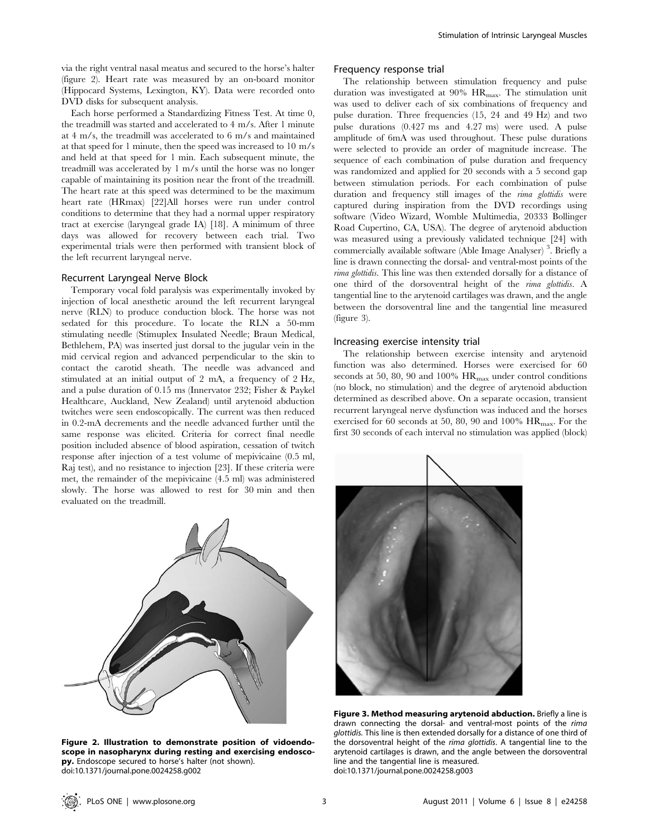via the right ventral nasal meatus and secured to the horse's halter (figure 2). Heart rate was measured by an on-board monitor (Hippocard Systems, Lexington, KY). Data were recorded onto DVD disks for subsequent analysis.

Each horse performed a Standardizing Fitness Test. At time 0, the treadmill was started and accelerated to 4 m/s. After 1 minute at 4 m/s, the treadmill was accelerated to 6 m/s and maintained at that speed for 1 minute, then the speed was increased to 10 m/s and held at that speed for 1 min. Each subsequent minute, the treadmill was accelerated by 1 m/s until the horse was no longer capable of maintaining its position near the front of the treadmill. The heart rate at this speed was determined to be the maximum heart rate (HRmax) [22]All horses were run under control conditions to determine that they had a normal upper respiratory tract at exercise (laryngeal grade IA) [18]. A minimum of three days was allowed for recovery between each trial. Two experimental trials were then performed with transient block of the left recurrent laryngeal nerve.

#### Recurrent Laryngeal Nerve Block

Temporary vocal fold paralysis was experimentally invoked by injection of local anesthetic around the left recurrent laryngeal nerve (RLN) to produce conduction block. The horse was not sedated for this procedure. To locate the RLN a 50-mm stimulating needle (Stimuplex Insulated Needle; Braun Medical, Bethlehem, PA) was inserted just dorsal to the jugular vein in the mid cervical region and advanced perpendicular to the skin to contact the carotid sheath. The needle was advanced and stimulated at an initial output of 2 mA, a frequency of 2 Hz, and a pulse duration of 0.15 ms (Innervator 232; Fisher & Paykel Healthcare, Auckland, New Zealand) until arytenoid abduction twitches were seen endoscopically. The current was then reduced in 0.2-mA decrements and the needle advanced further until the same response was elicited. Criteria for correct final needle position included absence of blood aspiration, cessation of twitch response after injection of a test volume of mepivicaine (0.5 ml, Raj test), and no resistance to injection [23]. If these criteria were met, the remainder of the mepivicaine (4.5 ml) was administered slowly. The horse was allowed to rest for 30 min and then evaluated on the treadmill.



Figure 2. Illustration to demonstrate position of vidoendoscope in nasopharynx during resting and exercising endoscopy. Endoscope secured to horse's halter (not shown). doi:10.1371/journal.pone.0024258.g002

#### Frequency response trial

The relationship between stimulation frequency and pulse duration was investigated at  $90\%$  HR<sub>max</sub>. The stimulation unit was used to deliver each of six combinations of frequency and pulse duration. Three frequencies (15, 24 and 49 Hz) and two pulse durations (0.427 ms and 4.27 ms) were used. A pulse amplitude of 6mA was used throughout. These pulse durations were selected to provide an order of magnitude increase. The sequence of each combination of pulse duration and frequency was randomized and applied for 20 seconds with a 5 second gap between stimulation periods. For each combination of pulse duration and frequency still images of the *rima glottidis* were captured during inspiration from the DVD recordings using software (Video Wizard, Womble Multimedia, 20333 Bollinger Road Cupertino, CA, USA). The degree of arytenoid abduction was measured using a previously validated technique [24] with commercially available software (Able Image Analyser) <sup>3</sup> . Briefly a line is drawn connecting the dorsal- and ventral-most points of the rima glottidis. This line was then extended dorsally for a distance of one third of the dorsoventral height of the rima glottidis. A tangential line to the arytenoid cartilages was drawn, and the angle between the dorsoventral line and the tangential line measured (figure 3).

#### Increasing exercise intensity trial

The relationship between exercise intensity and arytenoid function was also determined. Horses were exercised for 60 seconds at 50, 80, 90 and 100%  $HR_{max}$  under control conditions (no block, no stimulation) and the degree of arytenoid abduction determined as described above. On a separate occasion, transient recurrent laryngeal nerve dysfunction was induced and the horses exercised for 60 seconds at 50, 80, 90 and 100%  $\rm{HR_{max}}$ . For the first 30 seconds of each interval no stimulation was applied (block)



Figure 3. Method measuring arytenoid abduction. Briefly a line is drawn connecting the dorsal- and ventral-most points of the rima glottidis. This line is then extended dorsally for a distance of one third of the dorsoventral height of the rima glottidis. A tangential line to the arytenoid cartilages is drawn, and the angle between the dorsoventral line and the tangential line is measured. doi:10.1371/journal.pone.0024258.g003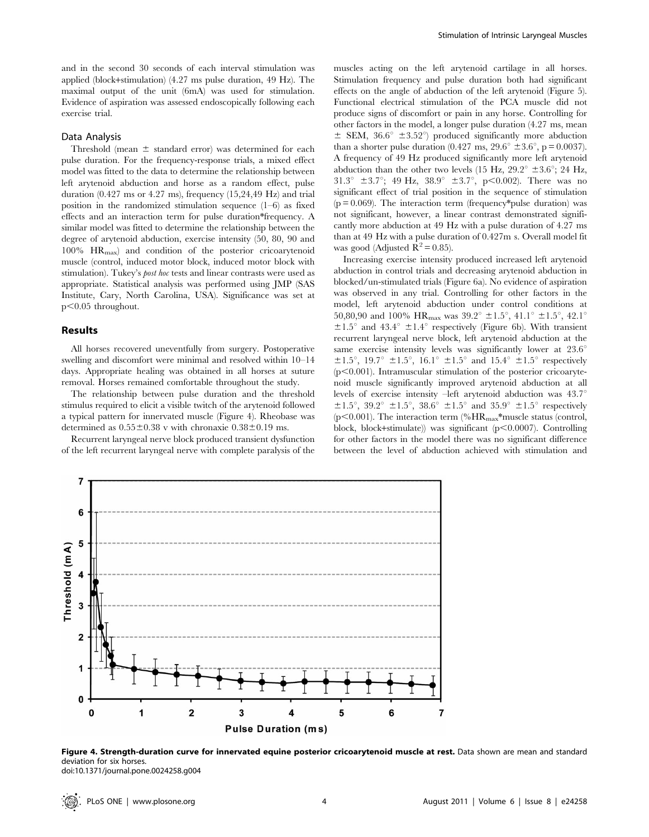and in the second 30 seconds of each interval stimulation was applied (block+stimulation) (4.27 ms pulse duration, 49 Hz). The maximal output of the unit (6mA) was used for stimulation. Evidence of aspiration was assessed endoscopically following each exercise trial.

#### Data Analysis

Threshold (mean  $\pm$  standard error) was determined for each pulse duration. For the frequency-response trials, a mixed effect model was fitted to the data to determine the relationship between left arytenoid abduction and horse as a random effect, pulse duration  $(0.427 \text{ ms or } 4.27 \text{ ms})$ , frequency  $(15,24,49 \text{ Hz})$  and trial position in the randomized stimulation sequence (1–6) as fixed effects and an interaction term for pulse duration\*frequency. A similar model was fitted to determine the relationship between the degree of arytenoid abduction, exercise intensity (50, 80, 90 and  $100\%$  HR<sub>max</sub>) and condition of the posterior cricoarytenoid muscle (control, induced motor block, induced motor block with stimulation). Tukey's post hoc tests and linear contrasts were used as appropriate. Statistical analysis was performed using JMP (SAS Institute, Cary, North Carolina, USA). Significance was set at  $p<0.05$  throughout.

#### Results

All horses recovered uneventfully from surgery. Postoperative swelling and discomfort were minimal and resolved within 10–14 days. Appropriate healing was obtained in all horses at suture removal. Horses remained comfortable throughout the study.

The relationship between pulse duration and the threshold stimulus required to elicit a visible twitch of the arytenoid followed a typical pattern for innervated muscle (Figure 4). Rheobase was determined as  $0.55\pm0.38$  v with chronaxie  $0.38\pm0.19$  ms.

Recurrent laryngeal nerve block produced transient dysfunction of the left recurrent laryngeal nerve with complete paralysis of the

muscles acting on the left arytenoid cartilage in all horses. Stimulation frequency and pulse duration both had significant effects on the angle of abduction of the left arytenoid (Figure 5). Functional electrical stimulation of the PCA muscle did not produce signs of discomfort or pain in any horse. Controlling for other factors in the model, a longer pulse duration (4.27 ms, mean  $\pm$  SEM, 36.6°  $\pm$ 3.52°) produced significantly more abduction than a shorter pulse duration (0.427 ms,  $29.6^{\circ} \pm 3.6^{\circ}$ , p = 0.0037). A frequency of 49 Hz produced significantly more left arytenoid abduction than the other two levels (15 Hz,  $29.2^{\circ} \pm 3.6^{\circ}$ ; 24 Hz, 31.3°  $\pm$ 3.7°; 49 Hz, 38.9°  $\pm$ 3.7°, p<0.002). There was no significant effect of trial position in the sequence of stimulation  $(p = 0.069)$ . The interaction term (frequency\*pulse duration) was not significant, however, a linear contrast demonstrated significantly more abduction at 49 Hz with a pulse duration of 4.27 ms than at 49 Hz with a pulse duration of 0.427m s. Overall model fit was good (Adjusted  $R^2 = 0.85$ ).

Increasing exercise intensity produced increased left arytenoid abduction in control trials and decreasing arytenoid abduction in blocked/un-stimulated trials (Figure 6a). No evidence of aspiration was observed in any trial. Controlling for other factors in the model, left arytenoid abduction under control conditions at 50,80,90 and 100%  $\rm{HR_{max}}$  was 39.2°  $\pm 1.5^{\circ},$   $41.1^{\circ}$   $\pm 1.5^{\circ},$   $42.1^{\circ}$  $\pm 1.5^{\circ}$  and 43.4<sup>°</sup>  $\pm 1.4^{\circ}$  respectively (Figure 6b). With transient recurrent laryngeal nerve block, left arytenoid abduction at the same exercise intensity levels was significantly lower at  $23.6^{\circ}$  $\pm 1.5^{\circ}$ , 19.7<sup>°</sup>  $\pm 1.5^{\circ}$ , 16.1<sup>°</sup>  $\pm 1.5^{\circ}$  and 15.4<sup>°</sup>  $\pm 1.5^{\circ}$  respectively  $(p<0.001)$ . Intramuscular stimulation of the posterior cricoarytenoid muscle significantly improved arytenoid abduction at all levels of exercise intensity –left arytenoid abduction was  $43.7^\circ$  $\pm 1.5^{\circ}$ , 39.2<sup>o</sup>  $\pm 1.5^{\circ}$ , 38.6<sup>o</sup>  $\pm 1.5^{\circ}$  and 35.9<sup>o</sup>  $\pm 1.5^{\circ}$  respectively ( $p$ <0.001). The interaction term (% $HR_{max}$ \*muscle status (control, block, block+stimulate)) was significant ( $p<0.0007$ ). Controlling for other factors in the model there was no significant difference between the level of abduction achieved with stimulation and



Figure 4. Strength-duration curve for innervated equine posterior cricoarytenoid muscle at rest. Data shown are mean and standard deviation for six horses. doi:10.1371/journal.pone.0024258.g004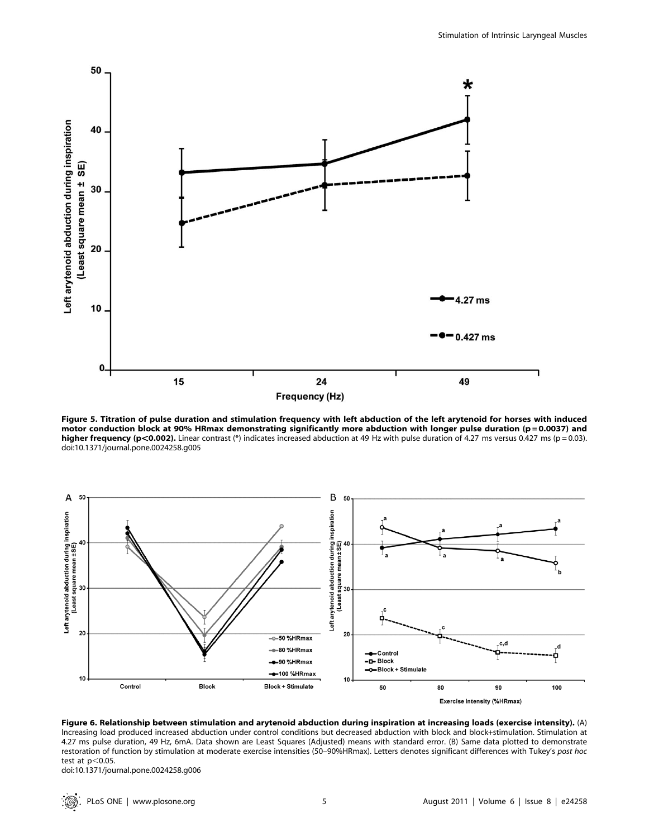

Figure 5. Titration of pulse duration and stimulation frequency with left abduction of the left arytenoid for horses with induced motor conduction block at 90% HRmax demonstrating significantly more abduction with longer pulse duration (p=0.0037) and higher frequency (p<0.002). Linear contrast (\*) indicates increased abduction at 49 Hz with pulse duration of 4.27 ms versus 0.427 ms (p = 0.03). doi:10.1371/journal.pone.0024258.g005



Figure 6. Relationship between stimulation and arytenoid abduction during inspiration at increasing loads (exercise intensity). (A) Increasing load produced increased abduction under control conditions but decreased abduction with block and block+stimulation. Stimulation at 4.27 ms pulse duration, 49 Hz, 6mA. Data shown are Least Squares (Adjusted) means with standard error. (B) Same data plotted to demonstrate restoration of function by stimulation at moderate exercise intensities (50–90%HRmax). Letters denotes significant differences with Tukey's post hoc test at  $p<$  0.05.

doi:10.1371/journal.pone.0024258.g006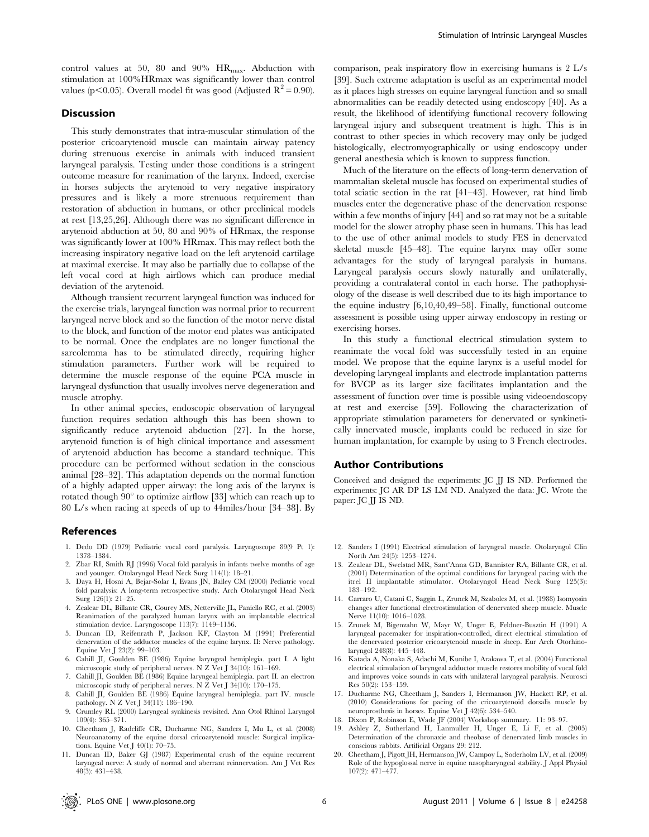control values at 50, 80 and 90%  $HR_{max}$ . Abduction with stimulation at 100%HRmax was significantly lower than control values (p $<$ 0.05). Overall model fit was good (Adjusted R<sup>2</sup> = 0.90).

#### Discussion

This study demonstrates that intra-muscular stimulation of the posterior cricoarytenoid muscle can maintain airway patency during strenuous exercise in animals with induced transient laryngeal paralysis. Testing under those conditions is a stringent outcome measure for reanimation of the larynx. Indeed, exercise in horses subjects the arytenoid to very negative inspiratory pressures and is likely a more strenuous requirement than restoration of abduction in humans, or other preclinical models at rest [13,25,26]. Although there was no significant difference in arytenoid abduction at 50, 80 and 90% of HRmax, the response was significantly lower at 100% HRmax. This may reflect both the increasing inspiratory negative load on the left arytenoid cartilage at maximal exercise. It may also be partially due to collapse of the left vocal cord at high airflows which can produce medial deviation of the arytenoid.

Although transient recurrent laryngeal function was induced for the exercise trials, laryngeal function was normal prior to recurrent laryngeal nerve block and so the function of the motor nerve distal to the block, and function of the motor end plates was anticipated to be normal. Once the endplates are no longer functional the sarcolemma has to be stimulated directly, requiring higher stimulation parameters. Further work will be required to determine the muscle response of the equine PCA muscle in laryngeal dysfunction that usually involves nerve degeneration and muscle atrophy.

In other animal species, endoscopic observation of laryngeal function requires sedation although this has been shown to significantly reduce arytenoid abduction [27]. In the horse, arytenoid function is of high clinical importance and assessment of arytenoid abduction has become a standard technique. This procedure can be performed without sedation in the conscious animal [28–32]. This adaptation depends on the normal function of a highly adapted upper airway: the long axis of the larynx is rotated though  $90^{\circ}$  to optimize airflow [33] which can reach up to 80 L/s when racing at speeds of up to 44miles/hour [34–38]. By

#### References

- 1. Dedo DD (1979) Pediatric vocal cord paralysis. Laryngoscope 89(9 Pt 1): 1378–1384.
- 2. Zbar RI, Smith RJ (1996) Vocal fold paralysis in infants twelve months of age and younger. Otolaryngol Head Neck Surg 114(1): 18–21.
- 3. Daya H, Hosni A, Bejar-Solar I, Evans JN, Bailey CM (2000) Pediatric vocal fold paralysis: A long-term retrospective study. Arch Otolaryngol Head Neck Surg 126(1): 21–25.
- 4. Zealear DL, Billante CR, Courey MS, Netterville JL, Paniello RC, et al. (2003) Reanimation of the paralyzed human larynx with an implantable electrical stimulation device. Laryngoscope 113(7): 1149–1156.
- 5. Duncan ID, Reifenrath P, Jackson KF, Clayton M (1991) Preferential denervation of the adductor muscles of the equine larynx. II: Nerve pathology. Equine Vet J 23(2): 99–103.
- 6. Cahill JI, Goulden BE (1986) Equine laryngeal hemiplegia. part I. A light microscopic study of peripheral nerves. N Z Vet J 34(10): 161–169.
- 7. Cahill JI, Goulden BE (1986) Equine laryngeal hemiplegia. part II. an electron microscopic study of peripheral nerves. N Z Vet J 34(10): 170–175.
- 8. Cahill JI, Goulden BE (1986) Equine laryngeal hemiplegia. part IV. muscle pathology. N Z Vet J 34(11): 186–190.
- 9. Crumley RL (2000) Laryngeal synkinesis revisited. Ann Otol Rhinol Laryngol 109(4): 365–371.
- 10. Cheetham J, Radcliffe CR, Ducharme NG, Sanders I, Mu L, et al. (2008) Neuroanatomy of the equine dorsal cricoarytenoid muscle: Surgical implications. Equine Vet J 40(1): 70–75.
- 11. Duncan ID, Baker GJ (1987) Experimental crush of the equine recurrent laryngeal nerve: A study of normal and aberrant reinnervation. Am J Vet Res 48(3): 431–438.

comparison, peak inspiratory flow in exercising humans is 2 L/s [39]. Such extreme adaptation is useful as an experimental model as it places high stresses on equine laryngeal function and so small abnormalities can be readily detected using endoscopy [40]. As a result, the likelihood of identifying functional recovery following laryngeal injury and subsequent treatment is high. This is in contrast to other species in which recovery may only be judged histologically, electromyographically or using endoscopy under general anesthesia which is known to suppress function.

Much of the literature on the effects of long-term denervation of mammalian skeletal muscle has focused on experimental studies of total sciatic section in the rat [41–43]. However, rat hind limb muscles enter the degenerative phase of the denervation response within a few months of injury [44] and so rat may not be a suitable model for the slower atrophy phase seen in humans. This has lead to the use of other animal models to study FES in denervated skeletal muscle [45–48]. The equine larynx may offer some advantages for the study of laryngeal paralysis in humans. Laryngeal paralysis occurs slowly naturally and unilaterally, providing a contralateral contol in each horse. The pathophysiology of the disease is well described due to its high importance to the equine industry [6,10,40,49–58]. Finally, functional outcome assessment is possible using upper airway endoscopy in resting or exercising horses.

In this study a functional electrical stimulation system to reanimate the vocal fold was successfully tested in an equine model. We propose that the equine larynx is a useful model for developing laryngeal implants and electrode implantation patterns for BVCP as its larger size facilitates implantation and the assessment of function over time is possible using videoendoscopy at rest and exercise [59]. Following the characterization of appropriate stimulation parameters for denervated or synkinetically innervated muscle, implants could be reduced in size for human implantation, for example by using to 3 French electrodes.

#### Author Contributions

Conceived and designed the experiments: JC JJ IS ND. Performed the experiments: JC AR DP LS LM ND. Analyzed the data: JC. Wrote the paper: JC JJ IS ND.

- 12. Sanders I (1991) Electrical stimulation of laryngeal muscle. Otolaryngol Clin North Am 24(5): 1253–1274.
- 13. Zealear DL, Swelstad MR, Sant'Anna GD, Bannister RA, Billante CR, et al. (2001) Determination of the optimal conditions for laryngeal pacing with the itrel II implantable stimulator. Otolaryngol Head Neck Surg 125(3): 183–192.
- 14. Carraro U, Catani C, Saggin L, Zrunek M, Szabolcs M, et al. (1988) Isomyosin changes after functional electrostimulation of denervated sheep muscle. Muscle Nerve 11(10): 1016–1028.
- 15. Zrunek M, Bigenzahn W, Mayr W, Unger E, Feldner-Busztin H (1991) A laryngeal pacemaker for inspiration-controlled, direct electrical stimulation of the denervated posterior cricoarytenoid muscle in sheep. Eur Arch Otorhinolaryngol 248(8): 445–448.
- 16. Katada A, Nonaka S, Adachi M, Kunibe I, Arakawa T, et al. (2004) Functional electrical stimulation of laryngeal adductor muscle restores mobility of vocal fold and improves voice sounds in cats with unilateral laryngeal paralysis. Neurosci Res 50(2): 153–159.
- 17. Ducharme NG, Cheetham J, Sanders I, Hermanson JW, Hackett RP, et al. (2010) Considerations for pacing of the cricoarytenoid dorsalis muscle by neuroprosthesis in horses. Equine Vet J 42(6): 534–540.
- 18. Dixon P, Robinson E, Wade JF (2004) Workshop summary. 11: 93–97.
- 19. Ashley Z, Sutherland H, Lanmuller H, Unger E, Li F, et al. (2005) Determination of the chronaxie and rheobase of denervated limb muscles in conscious rabbits. Artificial Organs 29: 212.
- 20. Cheetham J, Pigott JH, Hermanson JW, Campoy L, Soderholm LV, et al. (2009) Role of the hypoglossal nerve in equine nasopharyngeal stability. J Appl Physiol 107(2): 471–477.